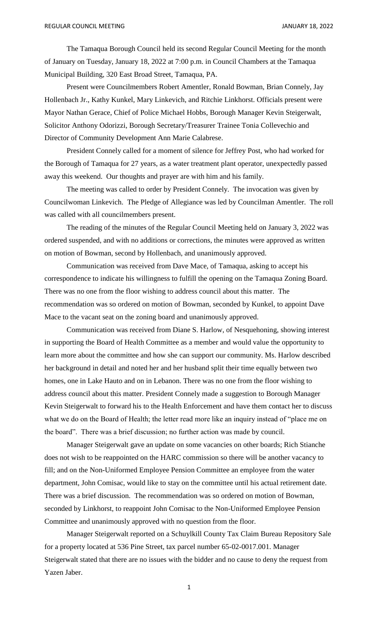The Tamaqua Borough Council held its second Regular Council Meeting for the month of January on Tuesday, January 18, 2022 at 7:00 p.m. in Council Chambers at the Tamaqua Municipal Building, 320 East Broad Street, Tamaqua, PA.

Present were Councilmembers Robert Amentler, Ronald Bowman, Brian Connely, Jay Hollenbach Jr., Kathy Kunkel, Mary Linkevich, and Ritchie Linkhorst. Officials present were Mayor Nathan Gerace, Chief of Police Michael Hobbs, Borough Manager Kevin Steigerwalt, Solicitor Anthony Odorizzi, Borough Secretary/Treasurer Trainee Tonia Collevechio and Director of Community Development Ann Marie Calabrese.

President Connely called for a moment of silence for Jeffrey Post, who had worked for the Borough of Tamaqua for 27 years, as a water treatment plant operator, unexpectedly passed away this weekend. Our thoughts and prayer are with him and his family.

The meeting was called to order by President Connely. The invocation was given by Councilwoman Linkevich. The Pledge of Allegiance was led by Councilman Amentler. The roll was called with all councilmembers present.

The reading of the minutes of the Regular Council Meeting held on January 3, 2022 was ordered suspended, and with no additions or corrections, the minutes were approved as written on motion of Bowman, second by Hollenbach, and unanimously approved.

Communication was received from Dave Mace, of Tamaqua, asking to accept his correspondence to indicate his willingness to fulfill the opening on the Tamaqua Zoning Board. There was no one from the floor wishing to address council about this matter. The recommendation was so ordered on motion of Bowman, seconded by Kunkel, to appoint Dave Mace to the vacant seat on the zoning board and unanimously approved.

Communication was received from Diane S. Harlow, of Nesquehoning, showing interest in supporting the Board of Health Committee as a member and would value the opportunity to learn more about the committee and how she can support our community. Ms. Harlow described her background in detail and noted her and her husband split their time equally between two homes, one in Lake Hauto and on in Lebanon. There was no one from the floor wishing to address council about this matter. President Connely made a suggestion to Borough Manager Kevin Steigerwalt to forward his to the Health Enforcement and have them contact her to discuss what we do on the Board of Health; the letter read more like an inquiry instead of "place me on the board". There was a brief discussion; no further action was made by council.

Manager Steigerwalt gave an update on some vacancies on other boards; Rich Stianche does not wish to be reappointed on the HARC commission so there will be another vacancy to fill; and on the Non-Uniformed Employee Pension Committee an employee from the water department, John Comisac, would like to stay on the committee until his actual retirement date. There was a brief discussion. The recommendation was so ordered on motion of Bowman, seconded by Linkhorst, to reappoint John Comisac to the Non-Uniformed Employee Pension Committee and unanimously approved with no question from the floor.

Manager Steigerwalt reported on a Schuylkill County Tax Claim Bureau Repository Sale for a property located at 536 Pine Street, tax parcel number 65-02-0017.001. Manager Steigerwalt stated that there are no issues with the bidder and no cause to deny the request from Yazen Jaber.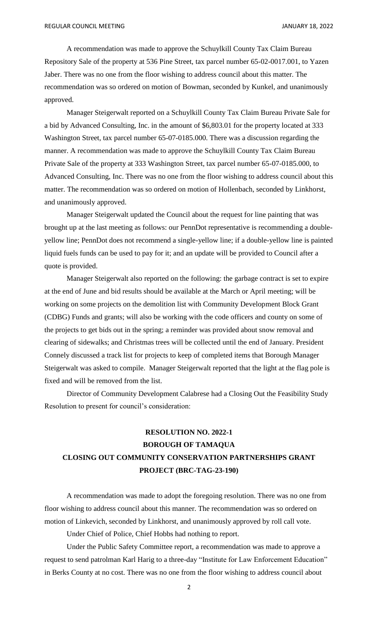A recommendation was made to approve the Schuylkill County Tax Claim Bureau Repository Sale of the property at 536 Pine Street, tax parcel number 65-02-0017.001, to Yazen Jaber. There was no one from the floor wishing to address council about this matter. The recommendation was so ordered on motion of Bowman, seconded by Kunkel, and unanimously approved.

Manager Steigerwalt reported on a Schuylkill County Tax Claim Bureau Private Sale for a bid by Advanced Consulting, Inc. in the amount of \$6,803.01 for the property located at 333 Washington Street, tax parcel number 65-07-0185.000. There was a discussion regarding the manner. A recommendation was made to approve the Schuylkill County Tax Claim Bureau Private Sale of the property at 333 Washington Street, tax parcel number 65-07-0185.000, to Advanced Consulting, Inc. There was no one from the floor wishing to address council about this matter. The recommendation was so ordered on motion of Hollenbach, seconded by Linkhorst, and unanimously approved.

Manager Steigerwalt updated the Council about the request for line painting that was brought up at the last meeting as follows: our PennDot representative is recommending a doubleyellow line; PennDot does not recommend a single-yellow line; if a double-yellow line is painted liquid fuels funds can be used to pay for it; and an update will be provided to Council after a quote is provided.

Manager Steigerwalt also reported on the following: the garbage contract is set to expire at the end of June and bid results should be available at the March or April meeting; will be working on some projects on the demolition list with Community Development Block Grant (CDBG) Funds and grants; will also be working with the code officers and county on some of the projects to get bids out in the spring; a reminder was provided about snow removal and clearing of sidewalks; and Christmas trees will be collected until the end of January. President Connely discussed a track list for projects to keep of completed items that Borough Manager Steigerwalt was asked to compile. Manager Steigerwalt reported that the light at the flag pole is fixed and will be removed from the list.

Director of Community Development Calabrese had a Closing Out the Feasibility Study Resolution to present for council's consideration:

# **RESOLUTION NO. 2022-1 BOROUGH OF TAMAQUA CLOSING OUT COMMUNITY CONSERVATION PARTNERSHIPS GRANT PROJECT (BRC-TAG-23-190)**

A recommendation was made to adopt the foregoing resolution. There was no one from floor wishing to address council about this manner. The recommendation was so ordered on motion of Linkevich, seconded by Linkhorst, and unanimously approved by roll call vote.

Under Chief of Police, Chief Hobbs had nothing to report.

Under the Public Safety Committee report, a recommendation was made to approve a request to send patrolman Karl Harig to a three-day "Institute for Law Enforcement Education" in Berks County at no cost. There was no one from the floor wishing to address council about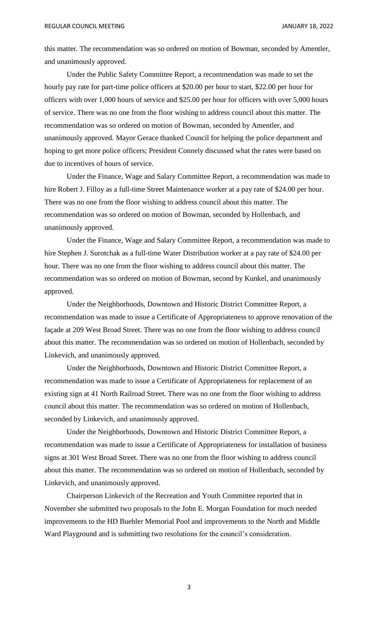this matter. The recommendation was so ordered on motion of Bowman, seconded by Amentler, and unanimously approved.

Under the Public Safety Committee Report, a recommendation was made to set the hourly pay rate for part-time police officers at \$20.00 per hour to start, \$22.00 per hour for officers with over 1,000 hours of service and \$25.00 per hour for officers with over 5,000 hours of service. There was no one from the floor wishing to address council about this matter. The recommendation was so ordered on motion of Bowman, seconded by Amentler, and unanimously approved. Mayor Gerace thanked Council for helping the police department and hoping to get more police officers; President Connely discussed what the rates were based on due to incentives of hours of service.

Under the Finance, Wage and Salary Committee Report, a recommendation was made to hire Robert J. Filloy as a full-time Street Maintenance worker at a pay rate of \$24.00 per hour. There was no one from the floor wishing to address council about this matter. The recommendation was so ordered on motion of Bowman, seconded by Hollenbach, and unanimously approved.

Under the Finance, Wage and Salary Committee Report, a recommendation was made to hire Stephen J. Surotchak as a full-time Water Distribution worker at a pay rate of \$24.00 per hour. There was no one from the floor wishing to address council about this matter. The recommendation was so ordered on motion of Bowman, second by Kunkel, and unanimously approved.

Under the Neighborhoods, Downtown and Historic District Committee Report, a recommendation was made to issue a Certificate of Appropriateness to approve renovation of the façade at 209 West Broad Street. There was no one from the floor wishing to address council about this matter. The recommendation was so ordered on motion of Hollenbach, seconded by Linkevich, and unanimously approved.

Under the Neighborhoods, Downtown and Historic District Committee Report, a recommendation was made to issue a Certificate of Appropriateness for replacement of an existing sign at 41 North Railroad Street. There was no one from the floor wishing to address council about this matter. The recommendation was so ordered on motion of Hollenbach, seconded by Linkevich, and unanimously approved.

Under the Neighborhoods, Downtown and Historic District Committee Report, a recommendation was made to issue a Certificate of Appropriateness for installation of business signs at 301 West Broad Street. There was no one from the floor wishing to address council about this matter. The recommendation was so ordered on motion of Hollenbach, seconded by Linkevich, and unanimously approved.

Chairperson Linkevich of the Recreation and Youth Committee reported that in November she submitted two proposals to the John E. Morgan Foundation for much needed improvements to the HD Buehler Memorial Pool and improvements to the North and Middle Ward Playground and is submitting two resolutions for the council's consideration.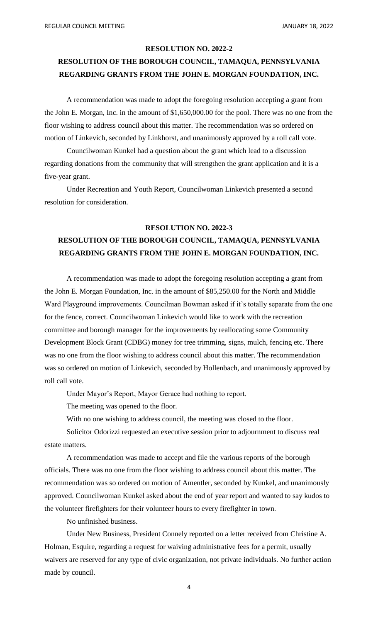### **RESOLUTION NO. 2022-2**

## **RESOLUTION OF THE BOROUGH COUNCIL, TAMAQUA, PENNSYLVANIA REGARDING GRANTS FROM THE JOHN E. MORGAN FOUNDATION, INC.**

A recommendation was made to adopt the foregoing resolution accepting a grant from the John E. Morgan, Inc. in the amount of \$1,650,000.00 for the pool. There was no one from the floor wishing to address council about this matter. The recommendation was so ordered on motion of Linkevich, seconded by Linkhorst, and unanimously approved by a roll call vote.

Councilwoman Kunkel had a question about the grant which lead to a discussion regarding donations from the community that will strengthen the grant application and it is a five-year grant.

Under Recreation and Youth Report, Councilwoman Linkevich presented a second resolution for consideration.

#### **RESOLUTION NO. 2022-3**

### **RESOLUTION OF THE BOROUGH COUNCIL, TAMAQUA, PENNSYLVANIA REGARDING GRANTS FROM THE JOHN E. MORGAN FOUNDATION, INC.**

A recommendation was made to adopt the foregoing resolution accepting a grant from the John E. Morgan Foundation, Inc. in the amount of \$85,250.00 for the North and Middle Ward Playground improvements. Councilman Bowman asked if it's totally separate from the one for the fence, correct. Councilwoman Linkevich would like to work with the recreation committee and borough manager for the improvements by reallocating some Community Development Block Grant (CDBG) money for tree trimming, signs, mulch, fencing etc. There was no one from the floor wishing to address council about this matter. The recommendation was so ordered on motion of Linkevich, seconded by Hollenbach, and unanimously approved by roll call vote.

Under Mayor's Report, Mayor Gerace had nothing to report.

The meeting was opened to the floor.

With no one wishing to address council, the meeting was closed to the floor.

Solicitor Odorizzi requested an executive session prior to adjournment to discuss real estate matters.

A recommendation was made to accept and file the various reports of the borough officials. There was no one from the floor wishing to address council about this matter. The recommendation was so ordered on motion of Amentler, seconded by Kunkel, and unanimously approved. Councilwoman Kunkel asked about the end of year report and wanted to say kudos to the volunteer firefighters for their volunteer hours to every firefighter in town.

No unfinished business.

Under New Business, President Connely reported on a letter received from Christine A. Holman, Esquire, regarding a request for waiving administrative fees for a permit, usually waivers are reserved for any type of civic organization, not private individuals. No further action made by council.